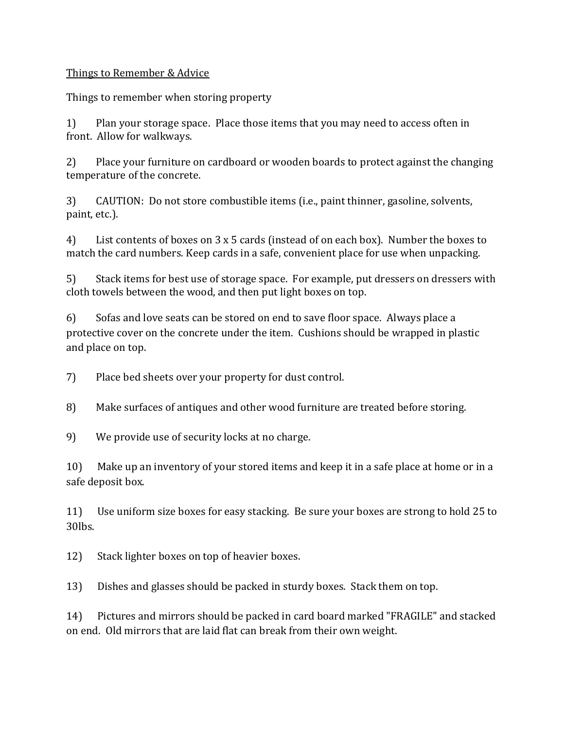## Things to Remember & Advice

Things to remember when storing property

1) Plan your storage space. Place those items that you may need to access often in front. Allow for walkways.

2) Place your furniture on cardboard or wooden boards to protect against the changing temperature of the concrete.

3) CAUTION: Do not store combustible items (i.e., paint thinner, gasoline, solvents, paint, etc.).

4) List contents of boxes on 3 x 5 cards (instead of on each box). Number the boxes to match the card numbers. Keep cards in a safe, convenient place for use when unpacking.

5) Stack items for best use of storage space. For example, put dressers on dressers with cloth towels between the wood, and then put light boxes on top.

6) Sofas and love seats can be stored on end to save floor space. Always place a protective cover on the concrete under the item. Cushions should be wrapped in plastic and place on top.

7) Place bed sheets over your property for dust control.

8) Make surfaces of antiques and other wood furniture are treated before storing.

9) We provide use of security locks at no charge.

10) Make up an inventory of your stored items and keep it in a safe place at home or in a safe deposit box.

11) Use uniform size boxes for easy stacking. Be sure your boxes are strong to hold 25 to 30lbs.

12) Stack lighter boxes on top of heavier boxes.

13) Dishes and glasses should be packed in sturdy boxes. Stack them on top.

14) Pictures and mirrors should be packed in card board marked "FRAGILE" and stacked on end. Old mirrors that are laid flat can break from their own weight.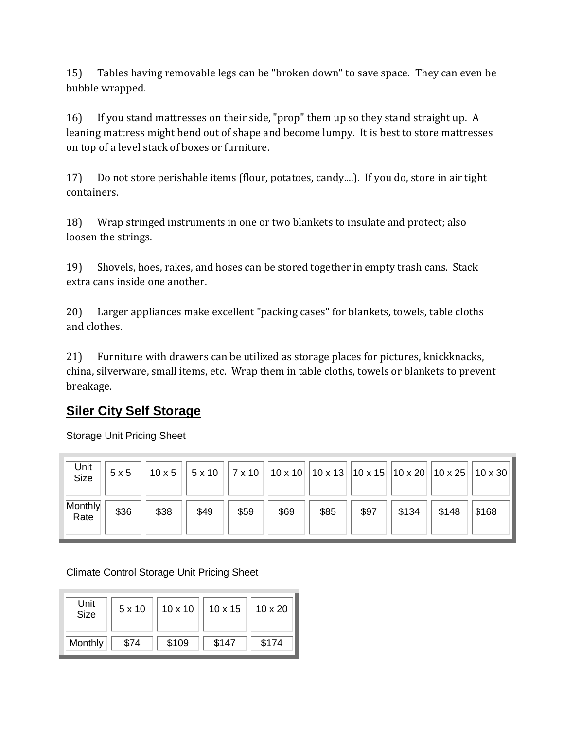15) Tables having removable legs can be "broken down" to save space. They can even be bubble wrapped.

16) If you stand mattresses on their side, "prop" them up so they stand straight up. A leaning mattress might bend out of shape and become lumpy. It is best to store mattresses on top of a level stack of boxes or furniture.

17) Do not store perishable items (flour, potatoes, candy....). If you do, store in air tight containers.

18) Wrap stringed instruments in one or two blankets to insulate and protect; also loosen the strings.

19) Shovels, hoes, rakes, and hoses can be stored together in empty trash cans. Stack extra cans inside one another.

20) Larger appliances make excellent "packing cases" for blankets, towels, table cloths and clothes.

21) Furniture with drawers can be utilized as storage places for pictures, knickknacks, china, silverware, small items, etc. Wrap them in table cloths, towels or blankets to prevent breakage.

## **Siler City Self Storage**

Storage Unit Pricing Sheet

| Unit<br>Size    | 5x5  | $10 \times 5$ | $5 \times 10$ |      | $\vert$ 7 x 10 $\vert$ 10 x 10 $\vert$ 10 x 13 $\vert$ 10 x 15 $\vert$ 10 x 20 $\vert$ 10 x 25 $\vert$ 10 x 30 |      |      |       |       |       |
|-----------------|------|---------------|---------------|------|----------------------------------------------------------------------------------------------------------------|------|------|-------|-------|-------|
| Monthly<br>Rate | \$36 | \$38          | \$49          | \$59 | \$69                                                                                                           | \$85 | \$97 | \$134 | \$148 | \$168 |

Climate Control Storage Unit Pricing Sheet

| Unit<br><b>Size</b> | 5x10 | $10 \times 10$ | $10 \times 15$ | $10 \times 20$ |
|---------------------|------|----------------|----------------|----------------|
| Monthly             | \$74 | \$109          | \$147          | \$174          |